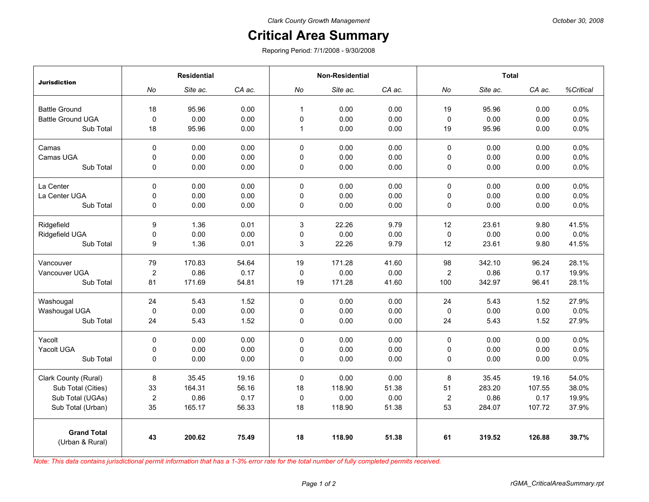## **Critical Area Summary**

Reporing Period: 7/1/2008 - 9/30/2008

|                                       | <b>Residential</b> |          |        | <b>Non-Residential</b> |          |        | <b>Total</b>     |          |        |           |
|---------------------------------------|--------------------|----------|--------|------------------------|----------|--------|------------------|----------|--------|-----------|
| <b>Jurisdiction</b>                   | No                 | Site ac. | CA ac. | No                     | Site ac. | CA ac. | No               | Site ac. | CA ac. | %Critical |
| <b>Battle Ground</b>                  | 18                 | 95.96    | 0.00   | $\mathbf{1}$           | 0.00     | 0.00   | 19               | 95.96    | 0.00   | 0.0%      |
| <b>Battle Ground UGA</b>              | $\mathbf 0$        | 0.00     | 0.00   | $\mathbf 0$            | 0.00     | 0.00   | 0                | 0.00     | 0.00   | 0.0%      |
| Sub Total                             | 18                 | 95.96    | 0.00   | $\mathbf{1}$           | 0.00     | 0.00   | 19               | 95.96    | 0.00   | 0.0%      |
|                                       |                    |          |        |                        |          |        |                  |          |        |           |
| Camas                                 | $\Omega$           | 0.00     | 0.00   | $\Omega$               | 0.00     | 0.00   | $\mathbf 0$      | 0.00     | 0.00   | 0.0%      |
| Camas UGA                             | 0                  | 0.00     | 0.00   | 0                      | 0.00     | 0.00   | 0                | 0.00     | 0.00   | 0.0%      |
| Sub Total                             | $\mathbf 0$        | 0.00     | 0.00   | $\mathbf 0$            | 0.00     | 0.00   | $\pmb{0}$        | 0.00     | 0.00   | 0.0%      |
| La Center                             | $\mathbf 0$        | 0.00     | 0.00   | 0                      | 0.00     | 0.00   | $\pmb{0}$        | 0.00     | 0.00   | 0.0%      |
| La Center UGA                         | $\mathbf 0$        | 0.00     | 0.00   | 0                      | 0.00     | 0.00   | $\pmb{0}$        | 0.00     | 0.00   | 0.0%      |
| Sub Total                             | 0                  | 0.00     | 0.00   | 0                      | 0.00     | 0.00   | $\pmb{0}$        | 0.00     | 0.00   | 0.0%      |
| Ridgefield                            | 9                  | 1.36     | 0.01   | 3                      | 22.26    | 9.79   | 12               | 23.61    | 9.80   | 41.5%     |
| Ridgefield UGA                        | 0                  | 0.00     | 0.00   | 0                      | 0.00     | 0.00   | 0                | 0.00     | 0.00   | 0.0%      |
| Sub Total                             | 9                  | 1.36     | 0.01   | 3                      | 22.26    | 9.79   | 12               | 23.61    | 9.80   | 41.5%     |
| Vancouver                             | 79                 | 170.83   | 54.64  | 19                     | 171.28   | 41.60  | 98               | 342.10   | 96.24  | 28.1%     |
| Vancouver UGA                         | $\overline{c}$     | 0.86     | 0.17   | 0                      | 0.00     | 0.00   | 2                | 0.86     | 0.17   | 19.9%     |
| Sub Total                             | 81                 | 171.69   | 54.81  | 19                     | 171.28   | 41.60  | 100              | 342.97   | 96.41  | 28.1%     |
| Washougal                             | 24                 | 5.43     | 1.52   | 0                      | 0.00     | 0.00   | 24               | 5.43     | 1.52   | 27.9%     |
| Washougal UGA                         | $\mathbf 0$        | 0.00     | 0.00   | 0                      | 0.00     | 0.00   | 0                | 0.00     | 0.00   | 0.0%      |
| Sub Total                             | 24                 | 5.43     | 1.52   | 0                      | 0.00     | 0.00   | 24               | 5.43     | 1.52   | 27.9%     |
| Yacolt                                | $\Omega$           | 0.00     | 0.00   | 0                      | 0.00     | 0.00   | 0                | 0.00     | 0.00   | 0.0%      |
| Yacolt UGA                            | 0                  | 0.00     | 0.00   | 0                      | 0.00     | 0.00   | $\pmb{0}$        | 0.00     | 0.00   | 0.0%      |
| Sub Total                             | $\Omega$           | 0.00     | 0.00   | 0                      | 0.00     | 0.00   | $\mathbf 0$      | 0.00     | 0.00   | 0.0%      |
| Clark County (Rural)                  | 8                  | 35.45    | 19.16  | 0                      | 0.00     | 0.00   | 8                | 35.45    | 19.16  | 54.0%     |
| Sub Total (Cities)                    | 33                 | 164.31   | 56.16  | 18                     | 118.90   | 51.38  | 51               | 283.20   | 107.55 | 38.0%     |
| Sub Total (UGAs)                      | $\overline{c}$     | 0.86     | 0.17   | 0                      | 0.00     | 0.00   | $\boldsymbol{2}$ | 0.86     | 0.17   | 19.9%     |
| Sub Total (Urban)                     | 35                 | 165.17   | 56.33  | 18                     | 118.90   | 51.38  | 53               | 284.07   | 107.72 | 37.9%     |
| <b>Grand Total</b><br>(Urban & Rural) | 43                 | 200.62   | 75.49  | 18                     | 118.90   | 51.38  | 61               | 319.52   | 126.88 | 39.7%     |

*Note: This data contains jurisdictional permit information that has a 1-3% error rate for the total number of fully completed permits received.*